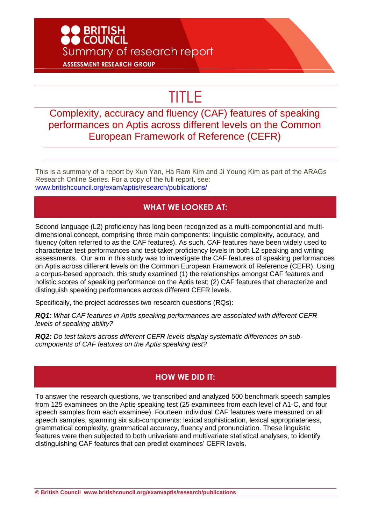## O BRITISH<br>O COUNCIL Summary of research report **ASSESSMENT RESEARCH GROUP**

# TITLE

### Complexity, accuracy and fluency (CAF) features of speaking performances on Aptis across different levels on the Common European Framework of Reference (CEFR)

This is a summary of a report by Xun Yan, Ha Ram Kim and Ji Young Kim as part of the ARAGs Research Online Series. For a copy of the full report, see: [www.britishcouncil.org/exam/aptis/research/publications/](http://www.britishcouncil.org/exam/aptis/research/publications/)

#### **WHAT WE LOOKED AT:**

Second language (L2) proficiency has long been recognized as a multi-componential and multidimensional concept, comprising three main components: linguistic complexity, accuracy, and fluency (often referred to as the CAF features). As such, CAF features have been widely used to characterize test performances and test-taker proficiency levels in both L2 speaking and writing assessments. Our aim in this study was to investigate the CAF features of speaking performances on Aptis across different levels on the Common European Framework of Reference (CEFR). Using a corpus-based approach, this study examined (1) the relationships amongst CAF features and holistic scores of speaking performance on the Aptis test; (2) CAF features that characterize and distinguish speaking performances across different CEFR levels.

Specifically, the project addresses two research questions (RQs):

*RQ1: What CAF features in Aptis speaking performances are associated with different CEFR levels of speaking ability?*

*RQ2: Do test takers across different CEFR levels display systematic differences on subcomponents of CAF features on the Aptis speaking test?*

#### **HOW WE DID IT:**

To answer the research questions, we transcribed and analyzed 500 benchmark speech samples from 125 examinees on the Aptis speaking test (25 examinees from each level of A1-C, and four speech samples from each examinee). Fourteen individual CAF features were measured on all speech samples, spanning six sub-components: lexical sophistication, lexical appropriateness, grammatical complexity, grammatical accuracy, fluency and pronunciation. These linguistic features were then subjected to both univariate and multivariate statistical analyses, to identify distinguishing CAF features that can predict examinees' CEFR levels.